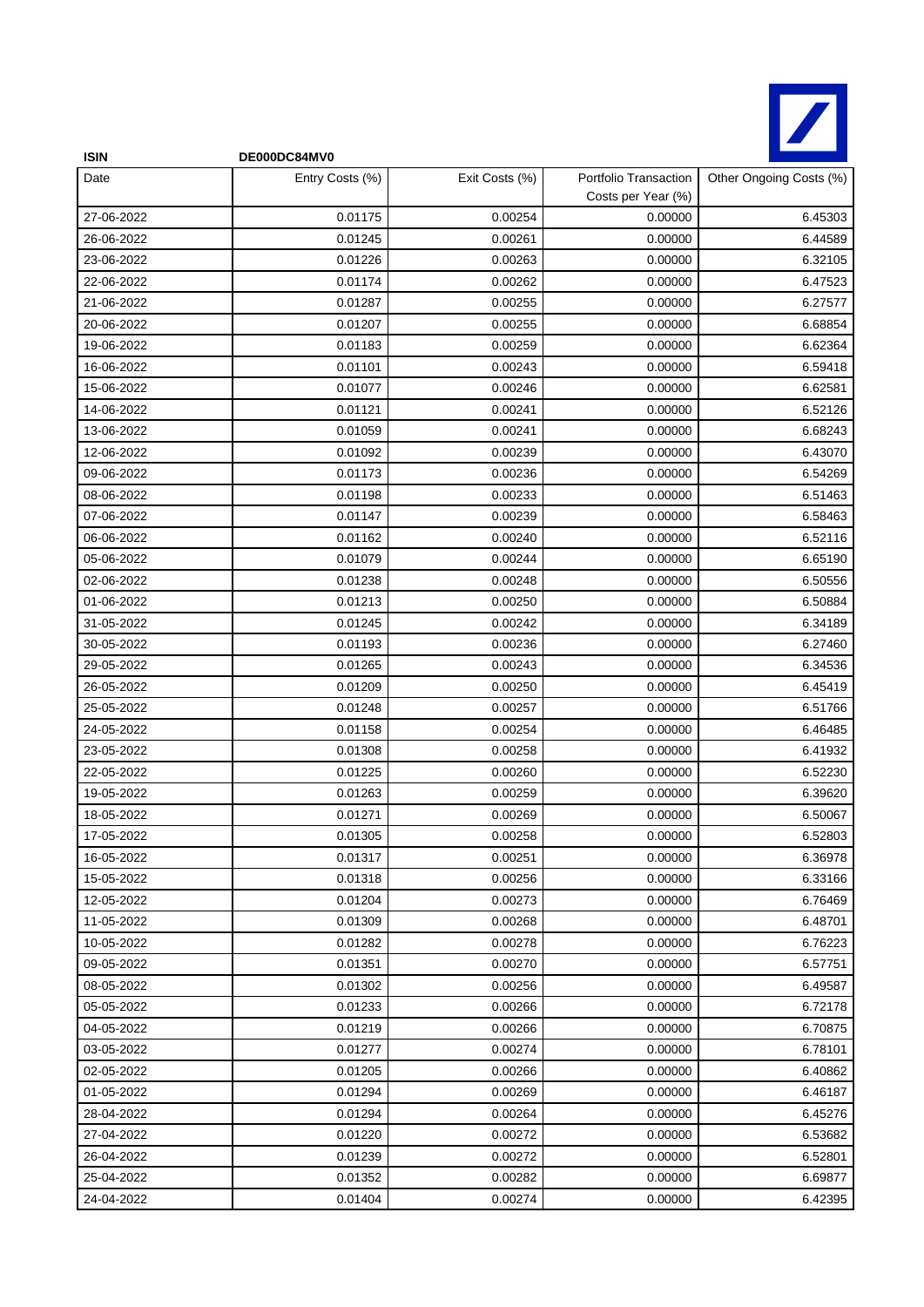

| <b>ISIN</b> | DE000DC84MV0    |                |                                             |                         |
|-------------|-----------------|----------------|---------------------------------------------|-------------------------|
| Date        | Entry Costs (%) | Exit Costs (%) | Portfolio Transaction<br>Costs per Year (%) | Other Ongoing Costs (%) |
| 27-06-2022  | 0.01175         | 0.00254        | 0.00000                                     | 6.45303                 |
| 26-06-2022  | 0.01245         | 0.00261        | 0.00000                                     | 6.44589                 |
| 23-06-2022  | 0.01226         | 0.00263        | 0.00000                                     | 6.32105                 |
| 22-06-2022  | 0.01174         | 0.00262        | 0.00000                                     | 6.47523                 |
| 21-06-2022  | 0.01287         | 0.00255        | 0.00000                                     | 6.27577                 |
| 20-06-2022  | 0.01207         | 0.00255        | 0.00000                                     | 6.68854                 |
| 19-06-2022  | 0.01183         | 0.00259        | 0.00000                                     | 6.62364                 |
| 16-06-2022  | 0.01101         | 0.00243        | 0.00000                                     | 6.59418                 |
| 15-06-2022  | 0.01077         | 0.00246        | 0.00000                                     | 6.62581                 |
| 14-06-2022  | 0.01121         | 0.00241        | 0.00000                                     | 6.52126                 |
| 13-06-2022  | 0.01059         | 0.00241        | 0.00000                                     | 6.68243                 |
| 12-06-2022  | 0.01092         | 0.00239        | 0.00000                                     | 6.43070                 |
| 09-06-2022  | 0.01173         | 0.00236        | 0.00000                                     | 6.54269                 |
| 08-06-2022  | 0.01198         | 0.00233        | 0.00000                                     | 6.51463                 |
| 07-06-2022  | 0.01147         | 0.00239        | 0.00000                                     | 6.58463                 |
| 06-06-2022  | 0.01162         | 0.00240        | 0.00000                                     | 6.52116                 |
| 05-06-2022  | 0.01079         | 0.00244        | 0.00000                                     | 6.65190                 |
| 02-06-2022  | 0.01238         | 0.00248        | 0.00000                                     | 6.50556                 |
| 01-06-2022  | 0.01213         | 0.00250        | 0.00000                                     | 6.50884                 |
| 31-05-2022  | 0.01245         | 0.00242        | 0.00000                                     | 6.34189                 |
| 30-05-2022  | 0.01193         | 0.00236        | 0.00000                                     | 6.27460                 |
| 29-05-2022  | 0.01265         | 0.00243        | 0.00000                                     | 6.34536                 |
| 26-05-2022  | 0.01209         | 0.00250        | 0.00000                                     | 6.45419                 |
| 25-05-2022  | 0.01248         | 0.00257        | 0.00000                                     | 6.51766                 |
| 24-05-2022  | 0.01158         | 0.00254        | 0.00000                                     | 6.46485                 |
| 23-05-2022  | 0.01308         | 0.00258        | 0.00000                                     | 6.41932                 |
| 22-05-2022  | 0.01225         | 0.00260        | 0.00000                                     | 6.52230                 |
| 19-05-2022  | 0.01263         | 0.00259        | 0.00000                                     | 6.39620                 |
| 18-05-2022  | 0.01271         | 0.00269        | 0.00000                                     | 6.50067                 |
| 17-05-2022  | 0.01305         | 0.00258        | 0.00000                                     | 6.52803                 |
| 16-05-2022  | 0.01317         | 0.00251        | 0.00000                                     | 6.36978                 |
| 15-05-2022  | 0.01318         | 0.00256        | 0.00000                                     | 6.33166                 |
| 12-05-2022  | 0.01204         | 0.00273        | 0.00000                                     | 6.76469                 |
| 11-05-2022  | 0.01309         | 0.00268        | 0.00000                                     | 6.48701                 |
| 10-05-2022  | 0.01282         | 0.00278        | 0.00000                                     | 6.76223                 |
| 09-05-2022  | 0.01351         | 0.00270        | 0.00000                                     | 6.57751                 |
| 08-05-2022  | 0.01302         | 0.00256        | 0.00000                                     | 6.49587                 |
| 05-05-2022  | 0.01233         | 0.00266        | 0.00000                                     | 6.72178                 |
| 04-05-2022  | 0.01219         | 0.00266        | 0.00000                                     | 6.70875                 |
| 03-05-2022  | 0.01277         | 0.00274        | 0.00000                                     | 6.78101                 |
| 02-05-2022  | 0.01205         | 0.00266        | 0.00000                                     | 6.40862                 |
| 01-05-2022  | 0.01294         | 0.00269        | 0.00000                                     | 6.46187                 |
| 28-04-2022  | 0.01294         | 0.00264        | 0.00000                                     | 6.45276                 |
| 27-04-2022  | 0.01220         | 0.00272        | 0.00000                                     | 6.53682                 |
| 26-04-2022  | 0.01239         | 0.00272        | 0.00000                                     | 6.52801                 |
| 25-04-2022  | 0.01352         | 0.00282        | 0.00000                                     | 6.69877                 |
| 24-04-2022  | 0.01404         | 0.00274        | 0.00000                                     | 6.42395                 |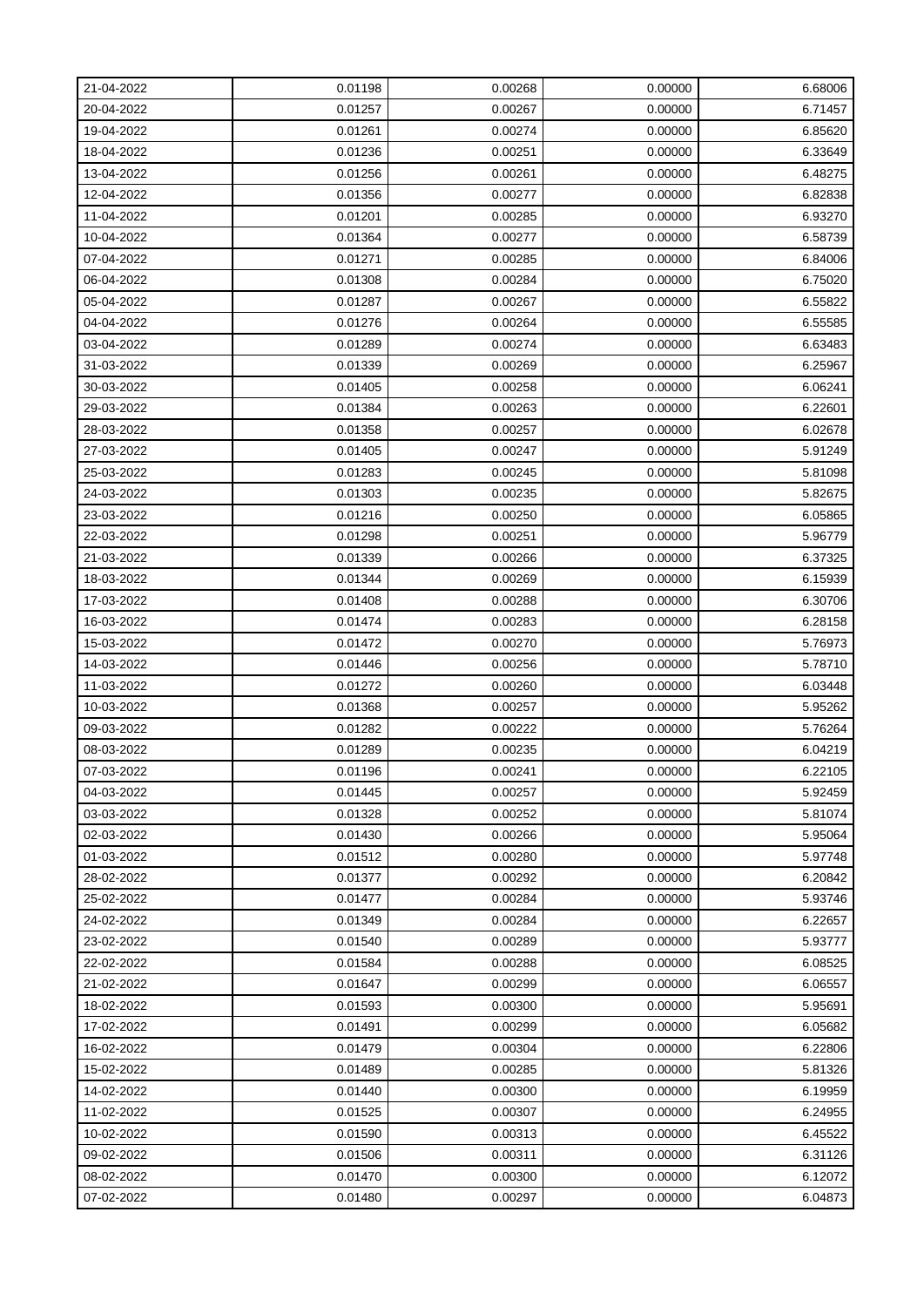| 21-04-2022 | 0.01198 | 0.00268 | 0.00000 | 6.68006 |
|------------|---------|---------|---------|---------|
| 20-04-2022 | 0.01257 | 0.00267 | 0.00000 | 6.71457 |
| 19-04-2022 | 0.01261 | 0.00274 | 0.00000 | 6.85620 |
| 18-04-2022 | 0.01236 | 0.00251 | 0.00000 | 6.33649 |
| 13-04-2022 | 0.01256 | 0.00261 | 0.00000 | 6.48275 |
| 12-04-2022 | 0.01356 | 0.00277 | 0.00000 | 6.82838 |
| 11-04-2022 | 0.01201 | 0.00285 | 0.00000 | 6.93270 |
| 10-04-2022 | 0.01364 | 0.00277 | 0.00000 | 6.58739 |
| 07-04-2022 | 0.01271 | 0.00285 | 0.00000 | 6.84006 |
| 06-04-2022 | 0.01308 | 0.00284 | 0.00000 | 6.75020 |
| 05-04-2022 | 0.01287 | 0.00267 | 0.00000 | 6.55822 |
| 04-04-2022 | 0.01276 | 0.00264 | 0.00000 | 6.55585 |
| 03-04-2022 | 0.01289 | 0.00274 | 0.00000 | 6.63483 |
| 31-03-2022 | 0.01339 | 0.00269 | 0.00000 | 6.25967 |
| 30-03-2022 | 0.01405 | 0.00258 | 0.00000 | 6.06241 |
| 29-03-2022 | 0.01384 | 0.00263 | 0.00000 | 6.22601 |
| 28-03-2022 | 0.01358 | 0.00257 | 0.00000 | 6.02678 |
| 27-03-2022 | 0.01405 | 0.00247 | 0.00000 | 5.91249 |
| 25-03-2022 | 0.01283 | 0.00245 | 0.00000 | 5.81098 |
| 24-03-2022 | 0.01303 | 0.00235 | 0.00000 | 5.82675 |
| 23-03-2022 | 0.01216 | 0.00250 | 0.00000 | 6.05865 |
| 22-03-2022 | 0.01298 | 0.00251 | 0.00000 | 5.96779 |
| 21-03-2022 | 0.01339 | 0.00266 | 0.00000 | 6.37325 |
| 18-03-2022 | 0.01344 | 0.00269 | 0.00000 | 6.15939 |
| 17-03-2022 | 0.01408 | 0.00288 | 0.00000 | 6.30706 |
| 16-03-2022 | 0.01474 | 0.00283 | 0.00000 | 6.28158 |
| 15-03-2022 | 0.01472 | 0.00270 | 0.00000 | 5.76973 |
| 14-03-2022 | 0.01446 | 0.00256 | 0.00000 | 5.78710 |
| 11-03-2022 | 0.01272 | 0.00260 | 0.00000 | 6.03448 |
| 10-03-2022 | 0.01368 | 0.00257 | 0.00000 | 5.95262 |
| 09-03-2022 | 0.01282 | 0.00222 | 0.00000 | 5.76264 |
| 08-03-2022 | 0.01289 | 0.00235 | 0.00000 | 6.04219 |
| 07-03-2022 | 0.01196 | 0.00241 | 0.00000 | 6.22105 |
| 04-03-2022 | 0.01445 | 0.00257 | 0.00000 | 5.92459 |
| 03-03-2022 | 0.01328 | 0.00252 | 0.00000 | 5.81074 |
| 02-03-2022 | 0.01430 | 0.00266 | 0.00000 | 5.95064 |
| 01-03-2022 | 0.01512 | 0.00280 | 0.00000 | 5.97748 |
| 28-02-2022 | 0.01377 | 0.00292 | 0.00000 | 6.20842 |
| 25-02-2022 | 0.01477 | 0.00284 | 0.00000 | 5.93746 |
| 24-02-2022 | 0.01349 | 0.00284 | 0.00000 | 6.22657 |
| 23-02-2022 | 0.01540 | 0.00289 | 0.00000 | 5.93777 |
| 22-02-2022 | 0.01584 | 0.00288 | 0.00000 | 6.08525 |
| 21-02-2022 | 0.01647 | 0.00299 | 0.00000 | 6.06557 |
| 18-02-2022 | 0.01593 | 0.00300 | 0.00000 | 5.95691 |
| 17-02-2022 | 0.01491 | 0.00299 | 0.00000 | 6.05682 |
| 16-02-2022 | 0.01479 | 0.00304 | 0.00000 | 6.22806 |
| 15-02-2022 | 0.01489 | 0.00285 | 0.00000 | 5.81326 |
| 14-02-2022 | 0.01440 | 0.00300 | 0.00000 | 6.19959 |
| 11-02-2022 | 0.01525 | 0.00307 | 0.00000 | 6.24955 |
| 10-02-2022 | 0.01590 | 0.00313 | 0.00000 | 6.45522 |
| 09-02-2022 | 0.01506 | 0.00311 | 0.00000 | 6.31126 |
| 08-02-2022 | 0.01470 | 0.00300 | 0.00000 | 6.12072 |
| 07-02-2022 | 0.01480 | 0.00297 | 0.00000 | 6.04873 |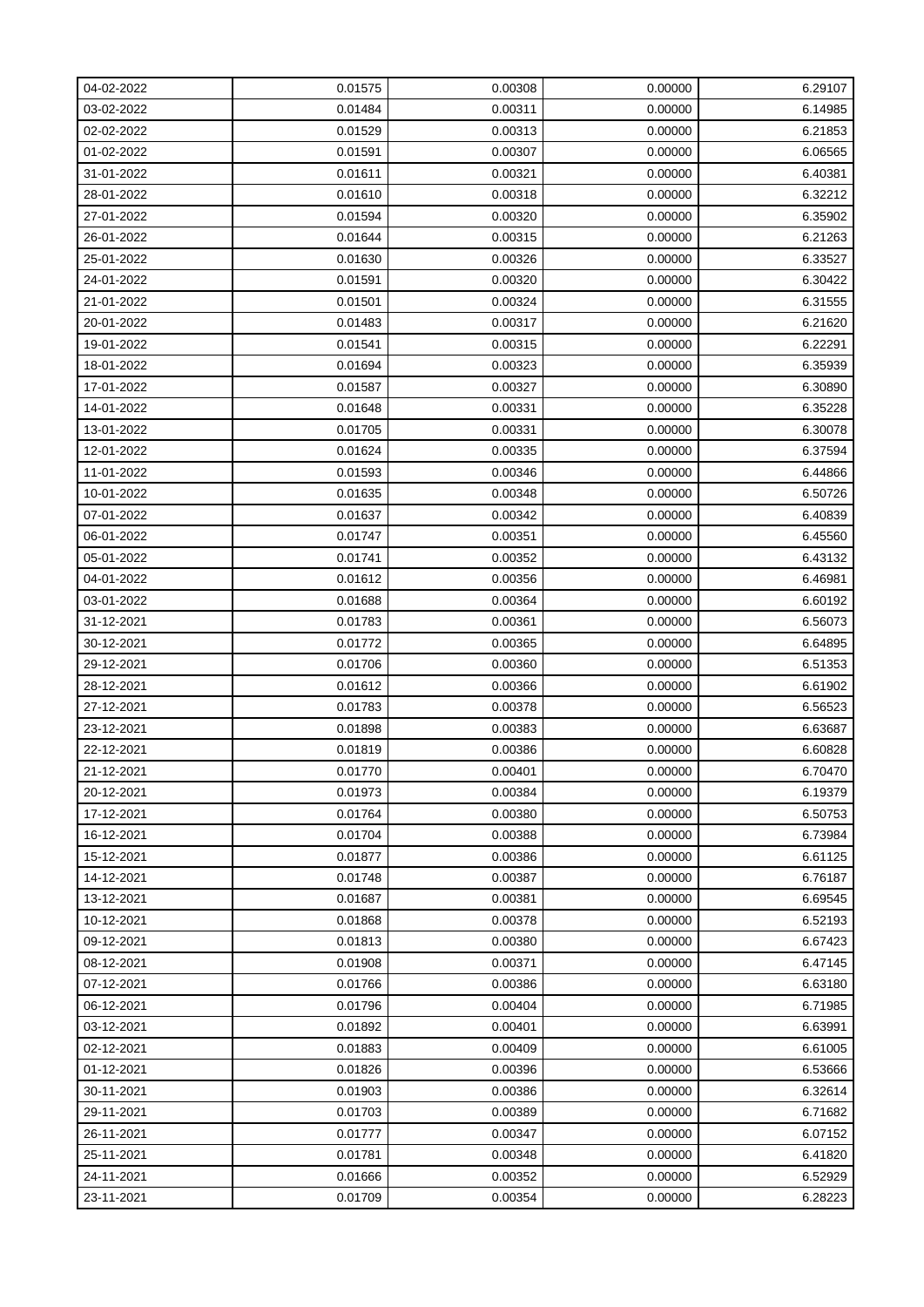| 04-02-2022 | 0.01575 | 0.00308 | 0.00000 | 6.29107 |
|------------|---------|---------|---------|---------|
| 03-02-2022 | 0.01484 | 0.00311 | 0.00000 | 6.14985 |
| 02-02-2022 | 0.01529 | 0.00313 | 0.00000 | 6.21853 |
| 01-02-2022 | 0.01591 | 0.00307 | 0.00000 | 6.06565 |
| 31-01-2022 | 0.01611 | 0.00321 | 0.00000 | 6.40381 |
| 28-01-2022 | 0.01610 | 0.00318 | 0.00000 | 6.32212 |
| 27-01-2022 | 0.01594 | 0.00320 | 0.00000 | 6.35902 |
| 26-01-2022 | 0.01644 | 0.00315 | 0.00000 | 6.21263 |
| 25-01-2022 | 0.01630 | 0.00326 | 0.00000 | 6.33527 |
| 24-01-2022 | 0.01591 | 0.00320 | 0.00000 | 6.30422 |
| 21-01-2022 | 0.01501 | 0.00324 | 0.00000 | 6.31555 |
| 20-01-2022 | 0.01483 | 0.00317 | 0.00000 | 6.21620 |
| 19-01-2022 | 0.01541 | 0.00315 | 0.00000 | 6.22291 |
| 18-01-2022 | 0.01694 | 0.00323 | 0.00000 | 6.35939 |
| 17-01-2022 | 0.01587 | 0.00327 | 0.00000 | 6.30890 |
| 14-01-2022 | 0.01648 | 0.00331 | 0.00000 | 6.35228 |
| 13-01-2022 | 0.01705 | 0.00331 | 0.00000 | 6.30078 |
| 12-01-2022 | 0.01624 | 0.00335 | 0.00000 | 6.37594 |
| 11-01-2022 | 0.01593 | 0.00346 | 0.00000 | 6.44866 |
| 10-01-2022 | 0.01635 | 0.00348 | 0.00000 | 6.50726 |
| 07-01-2022 | 0.01637 | 0.00342 | 0.00000 | 6.40839 |
| 06-01-2022 | 0.01747 | 0.00351 | 0.00000 | 6.45560 |
| 05-01-2022 | 0.01741 | 0.00352 | 0.00000 | 6.43132 |
| 04-01-2022 | 0.01612 | 0.00356 | 0.00000 | 6.46981 |
| 03-01-2022 | 0.01688 | 0.00364 | 0.00000 | 6.60192 |
| 31-12-2021 | 0.01783 | 0.00361 | 0.00000 | 6.56073 |
| 30-12-2021 | 0.01772 | 0.00365 | 0.00000 | 6.64895 |
| 29-12-2021 | 0.01706 | 0.00360 | 0.00000 | 6.51353 |
| 28-12-2021 | 0.01612 | 0.00366 | 0.00000 | 6.61902 |
| 27-12-2021 | 0.01783 | 0.00378 | 0.00000 | 6.56523 |
| 23-12-2021 | 0.01898 | 0.00383 | 0.00000 | 6.63687 |
| 22-12-2021 | 0.01819 | 0.00386 | 0.00000 | 6.60828 |
| 21-12-2021 | 0.01770 | 0.00401 | 0.00000 | 6.70470 |
| 20-12-2021 | 0.01973 | 0.00384 | 0.00000 | 6.19379 |
| 17-12-2021 | 0.01764 | 0.00380 | 0.00000 | 6.50753 |
| 16-12-2021 | 0.01704 | 0.00388 | 0.00000 | 6.73984 |
| 15-12-2021 | 0.01877 | 0.00386 | 0.00000 | 6.61125 |
| 14-12-2021 | 0.01748 | 0.00387 | 0.00000 | 6.76187 |
| 13-12-2021 | 0.01687 | 0.00381 | 0.00000 | 6.69545 |
| 10-12-2021 | 0.01868 | 0.00378 | 0.00000 | 6.52193 |
| 09-12-2021 | 0.01813 | 0.00380 | 0.00000 | 6.67423 |
| 08-12-2021 | 0.01908 | 0.00371 | 0.00000 | 6.47145 |
| 07-12-2021 | 0.01766 | 0.00386 | 0.00000 | 6.63180 |
| 06-12-2021 | 0.01796 | 0.00404 | 0.00000 | 6.71985 |
| 03-12-2021 | 0.01892 | 0.00401 | 0.00000 | 6.63991 |
| 02-12-2021 | 0.01883 | 0.00409 | 0.00000 | 6.61005 |
| 01-12-2021 | 0.01826 | 0.00396 | 0.00000 | 6.53666 |
| 30-11-2021 | 0.01903 | 0.00386 | 0.00000 | 6.32614 |
| 29-11-2021 | 0.01703 | 0.00389 | 0.00000 | 6.71682 |
| 26-11-2021 | 0.01777 | 0.00347 | 0.00000 | 6.07152 |
| 25-11-2021 | 0.01781 | 0.00348 | 0.00000 | 6.41820 |
| 24-11-2021 | 0.01666 | 0.00352 | 0.00000 | 6.52929 |
| 23-11-2021 | 0.01709 | 0.00354 | 0.00000 | 6.28223 |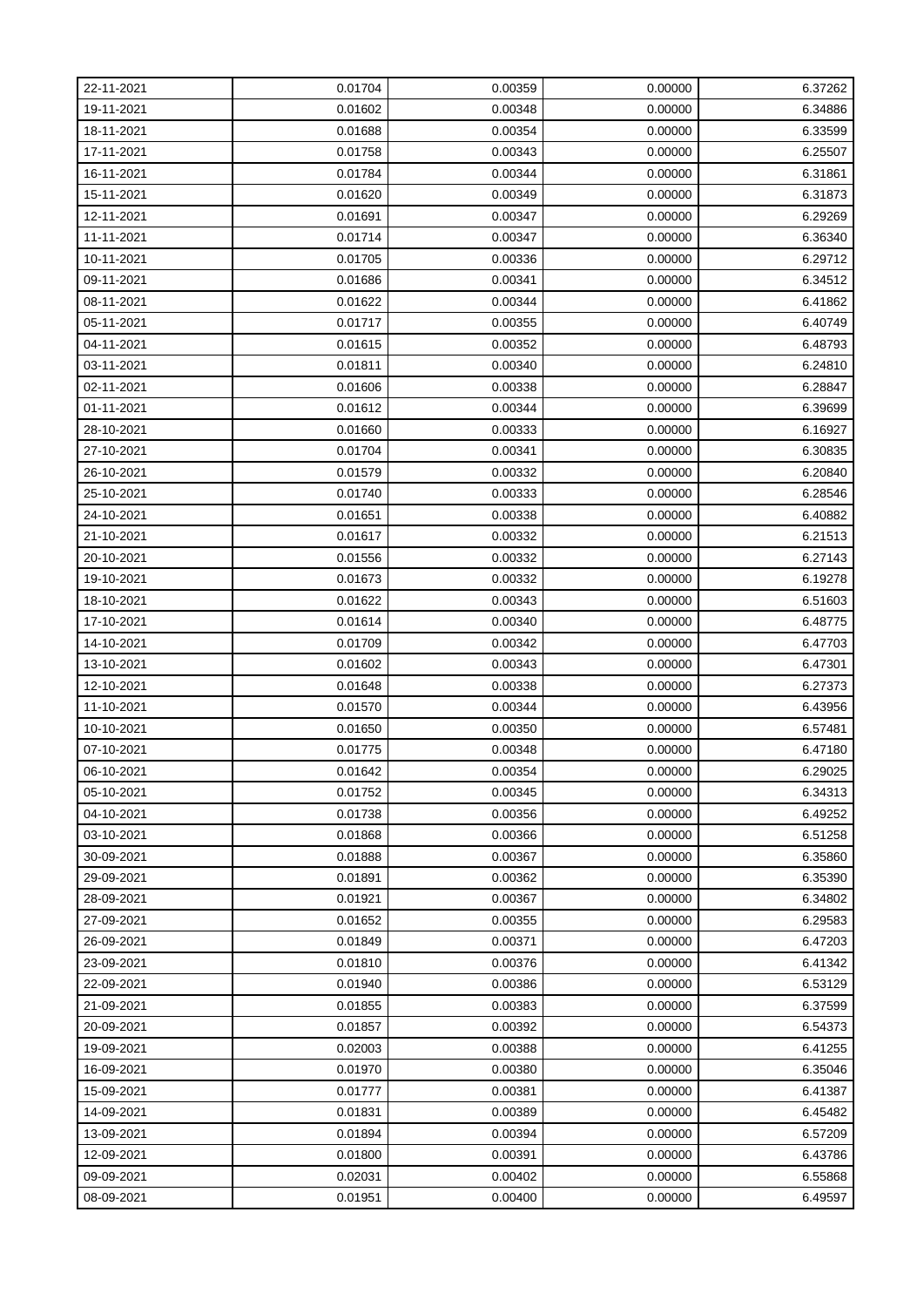| 22-11-2021 | 0.01704 | 0.00359 | 0.00000 | 6.37262 |
|------------|---------|---------|---------|---------|
| 19-11-2021 | 0.01602 | 0.00348 | 0.00000 | 6.34886 |
| 18-11-2021 | 0.01688 | 0.00354 | 0.00000 | 6.33599 |
| 17-11-2021 | 0.01758 | 0.00343 | 0.00000 | 6.25507 |
| 16-11-2021 | 0.01784 | 0.00344 | 0.00000 | 6.31861 |
| 15-11-2021 | 0.01620 | 0.00349 | 0.00000 | 6.31873 |
| 12-11-2021 | 0.01691 | 0.00347 | 0.00000 | 6.29269 |
| 11-11-2021 | 0.01714 | 0.00347 | 0.00000 | 6.36340 |
| 10-11-2021 | 0.01705 | 0.00336 | 0.00000 | 6.29712 |
| 09-11-2021 | 0.01686 | 0.00341 | 0.00000 | 6.34512 |
| 08-11-2021 | 0.01622 | 0.00344 | 0.00000 | 6.41862 |
| 05-11-2021 | 0.01717 | 0.00355 | 0.00000 | 6.40749 |
| 04-11-2021 | 0.01615 | 0.00352 | 0.00000 | 6.48793 |
| 03-11-2021 | 0.01811 | 0.00340 | 0.00000 | 6.24810 |
| 02-11-2021 | 0.01606 | 0.00338 | 0.00000 | 6.28847 |
| 01-11-2021 | 0.01612 | 0.00344 | 0.00000 | 6.39699 |
| 28-10-2021 | 0.01660 | 0.00333 | 0.00000 | 6.16927 |
| 27-10-2021 | 0.01704 | 0.00341 | 0.00000 | 6.30835 |
| 26-10-2021 | 0.01579 | 0.00332 | 0.00000 | 6.20840 |
| 25-10-2021 | 0.01740 | 0.00333 | 0.00000 | 6.28546 |
| 24-10-2021 | 0.01651 | 0.00338 | 0.00000 | 6.40882 |
| 21-10-2021 | 0.01617 | 0.00332 | 0.00000 | 6.21513 |
| 20-10-2021 | 0.01556 | 0.00332 | 0.00000 | 6.27143 |
| 19-10-2021 | 0.01673 | 0.00332 | 0.00000 | 6.19278 |
| 18-10-2021 | 0.01622 | 0.00343 | 0.00000 | 6.51603 |
| 17-10-2021 | 0.01614 | 0.00340 | 0.00000 | 6.48775 |
| 14-10-2021 | 0.01709 | 0.00342 | 0.00000 | 6.47703 |
| 13-10-2021 | 0.01602 | 0.00343 | 0.00000 | 6.47301 |
| 12-10-2021 | 0.01648 | 0.00338 | 0.00000 | 6.27373 |
| 11-10-2021 | 0.01570 | 0.00344 | 0.00000 | 6.43956 |
| 10-10-2021 | 0.01650 | 0.00350 | 0.00000 | 6.57481 |
| 07-10-2021 | 0.01775 | 0.00348 | 0.00000 | 6.47180 |
| 06-10-2021 | 0.01642 | 0.00354 | 0.00000 | 6.29025 |
| 05-10-2021 | 0.01752 | 0.00345 | 0.00000 | 6.34313 |
| 04-10-2021 | 0.01738 | 0.00356 | 0.00000 | 6.49252 |
| 03-10-2021 | 0.01868 | 0.00366 | 0.00000 | 6.51258 |
| 30-09-2021 | 0.01888 | 0.00367 | 0.00000 | 6.35860 |
| 29-09-2021 | 0.01891 | 0.00362 | 0.00000 | 6.35390 |
| 28-09-2021 | 0.01921 | 0.00367 | 0.00000 | 6.34802 |
| 27-09-2021 | 0.01652 | 0.00355 | 0.00000 | 6.29583 |
| 26-09-2021 | 0.01849 | 0.00371 | 0.00000 | 6.47203 |
| 23-09-2021 | 0.01810 | 0.00376 | 0.00000 | 6.41342 |
| 22-09-2021 | 0.01940 | 0.00386 | 0.00000 | 6.53129 |
| 21-09-2021 | 0.01855 | 0.00383 | 0.00000 | 6.37599 |
| 20-09-2021 | 0.01857 | 0.00392 | 0.00000 | 6.54373 |
| 19-09-2021 | 0.02003 | 0.00388 | 0.00000 | 6.41255 |
| 16-09-2021 | 0.01970 | 0.00380 | 0.00000 | 6.35046 |
| 15-09-2021 | 0.01777 | 0.00381 | 0.00000 | 6.41387 |
| 14-09-2021 | 0.01831 | 0.00389 | 0.00000 | 6.45482 |
| 13-09-2021 | 0.01894 | 0.00394 | 0.00000 | 6.57209 |
| 12-09-2021 | 0.01800 | 0.00391 | 0.00000 | 6.43786 |
| 09-09-2021 | 0.02031 | 0.00402 | 0.00000 | 6.55868 |
| 08-09-2021 | 0.01951 | 0.00400 | 0.00000 | 6.49597 |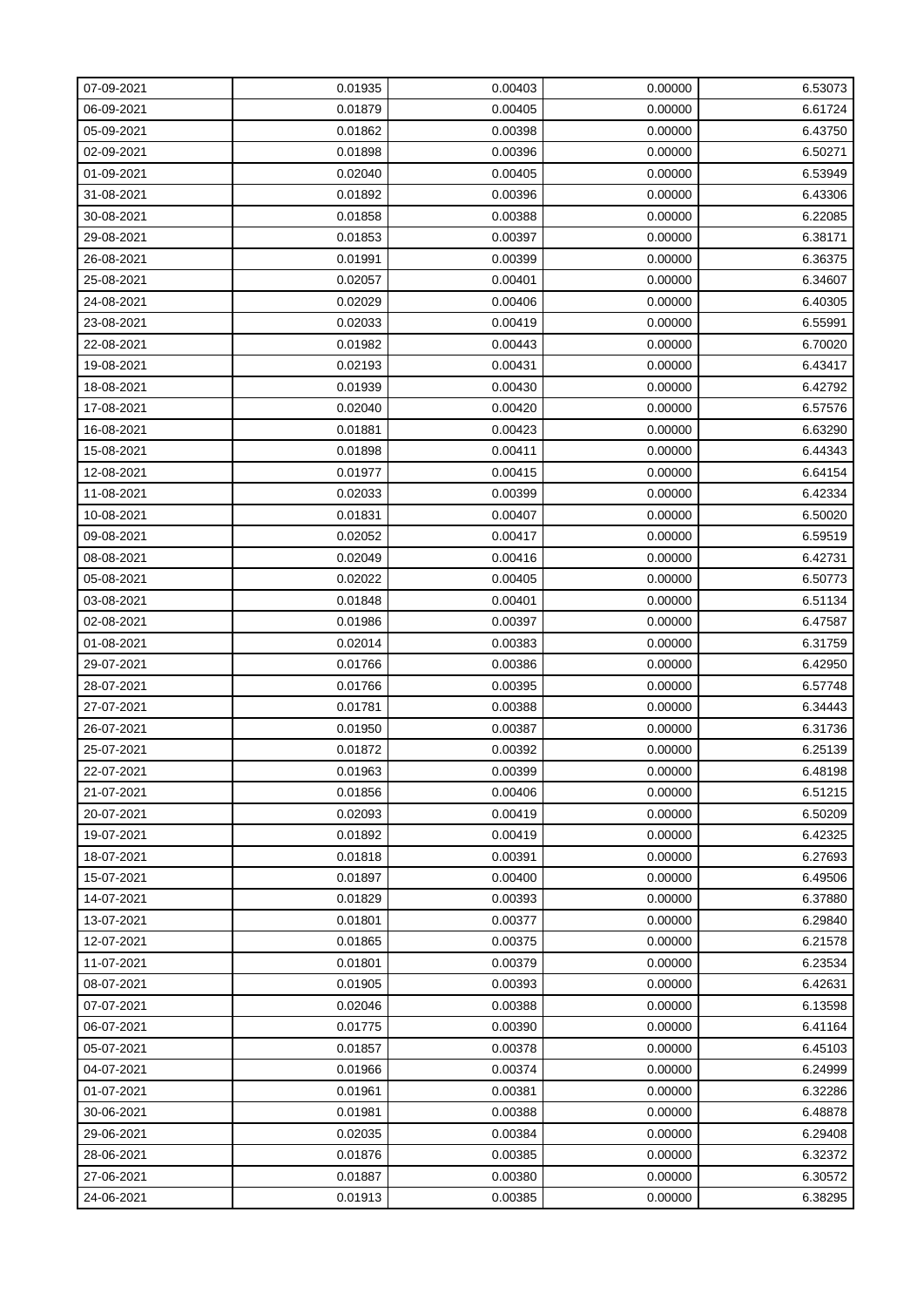| 07-09-2021 | 0.01935 | 0.00403 | 0.00000 | 6.53073 |
|------------|---------|---------|---------|---------|
| 06-09-2021 | 0.01879 | 0.00405 | 0.00000 | 6.61724 |
| 05-09-2021 | 0.01862 | 0.00398 | 0.00000 | 6.43750 |
| 02-09-2021 | 0.01898 | 0.00396 | 0.00000 | 6.50271 |
| 01-09-2021 | 0.02040 | 0.00405 | 0.00000 | 6.53949 |
| 31-08-2021 | 0.01892 | 0.00396 | 0.00000 | 6.43306 |
| 30-08-2021 | 0.01858 | 0.00388 | 0.00000 | 6.22085 |
| 29-08-2021 | 0.01853 | 0.00397 | 0.00000 | 6.38171 |
| 26-08-2021 | 0.01991 | 0.00399 | 0.00000 | 6.36375 |
| 25-08-2021 | 0.02057 | 0.00401 | 0.00000 | 6.34607 |
| 24-08-2021 | 0.02029 | 0.00406 | 0.00000 | 6.40305 |
| 23-08-2021 | 0.02033 | 0.00419 | 0.00000 | 6.55991 |
| 22-08-2021 | 0.01982 | 0.00443 | 0.00000 | 6.70020 |
| 19-08-2021 | 0.02193 | 0.00431 | 0.00000 | 6.43417 |
| 18-08-2021 | 0.01939 | 0.00430 | 0.00000 | 6.42792 |
| 17-08-2021 | 0.02040 | 0.00420 | 0.00000 | 6.57576 |
| 16-08-2021 | 0.01881 | 0.00423 | 0.00000 | 6.63290 |
| 15-08-2021 | 0.01898 | 0.00411 | 0.00000 | 6.44343 |
| 12-08-2021 | 0.01977 | 0.00415 | 0.00000 | 6.64154 |
| 11-08-2021 | 0.02033 | 0.00399 | 0.00000 | 6.42334 |
| 10-08-2021 | 0.01831 | 0.00407 | 0.00000 | 6.50020 |
| 09-08-2021 | 0.02052 | 0.00417 | 0.00000 | 6.59519 |
| 08-08-2021 | 0.02049 | 0.00416 | 0.00000 | 6.42731 |
| 05-08-2021 | 0.02022 | 0.00405 | 0.00000 | 6.50773 |
| 03-08-2021 | 0.01848 | 0.00401 | 0.00000 | 6.51134 |
| 02-08-2021 | 0.01986 | 0.00397 | 0.00000 | 6.47587 |
| 01-08-2021 | 0.02014 | 0.00383 | 0.00000 | 6.31759 |
| 29-07-2021 | 0.01766 | 0.00386 | 0.00000 | 6.42950 |
| 28-07-2021 | 0.01766 | 0.00395 | 0.00000 | 6.57748 |
| 27-07-2021 | 0.01781 | 0.00388 | 0.00000 | 6.34443 |
| 26-07-2021 | 0.01950 | 0.00387 | 0.00000 | 6.31736 |
| 25-07-2021 | 0.01872 | 0.00392 | 0.00000 | 6.25139 |
| 22-07-2021 | 0.01963 | 0.00399 | 0.00000 | 6.48198 |
| 21-07-2021 | 0.01856 | 0.00406 | 0.00000 | 6.51215 |
| 20-07-2021 | 0.02093 | 0.00419 | 0.00000 | 6.50209 |
| 19-07-2021 | 0.01892 | 0.00419 | 0.00000 | 6.42325 |
| 18-07-2021 | 0.01818 | 0.00391 | 0.00000 | 6.27693 |
| 15-07-2021 | 0.01897 | 0.00400 | 0.00000 | 6.49506 |
| 14-07-2021 | 0.01829 | 0.00393 | 0.00000 | 6.37880 |
| 13-07-2021 | 0.01801 | 0.00377 | 0.00000 | 6.29840 |
| 12-07-2021 | 0.01865 | 0.00375 | 0.00000 | 6.21578 |
| 11-07-2021 | 0.01801 | 0.00379 | 0.00000 | 6.23534 |
| 08-07-2021 | 0.01905 | 0.00393 | 0.00000 | 6.42631 |
| 07-07-2021 | 0.02046 | 0.00388 | 0.00000 | 6.13598 |
| 06-07-2021 | 0.01775 | 0.00390 | 0.00000 | 6.41164 |
| 05-07-2021 | 0.01857 | 0.00378 | 0.00000 | 6.45103 |
| 04-07-2021 | 0.01966 | 0.00374 | 0.00000 | 6.24999 |
| 01-07-2021 | 0.01961 | 0.00381 | 0.00000 | 6.32286 |
| 30-06-2021 | 0.01981 | 0.00388 | 0.00000 | 6.48878 |
| 29-06-2021 | 0.02035 | 0.00384 | 0.00000 | 6.29408 |
| 28-06-2021 | 0.01876 | 0.00385 | 0.00000 | 6.32372 |
| 27-06-2021 | 0.01887 | 0.00380 | 0.00000 | 6.30572 |
| 24-06-2021 | 0.01913 | 0.00385 | 0.00000 | 6.38295 |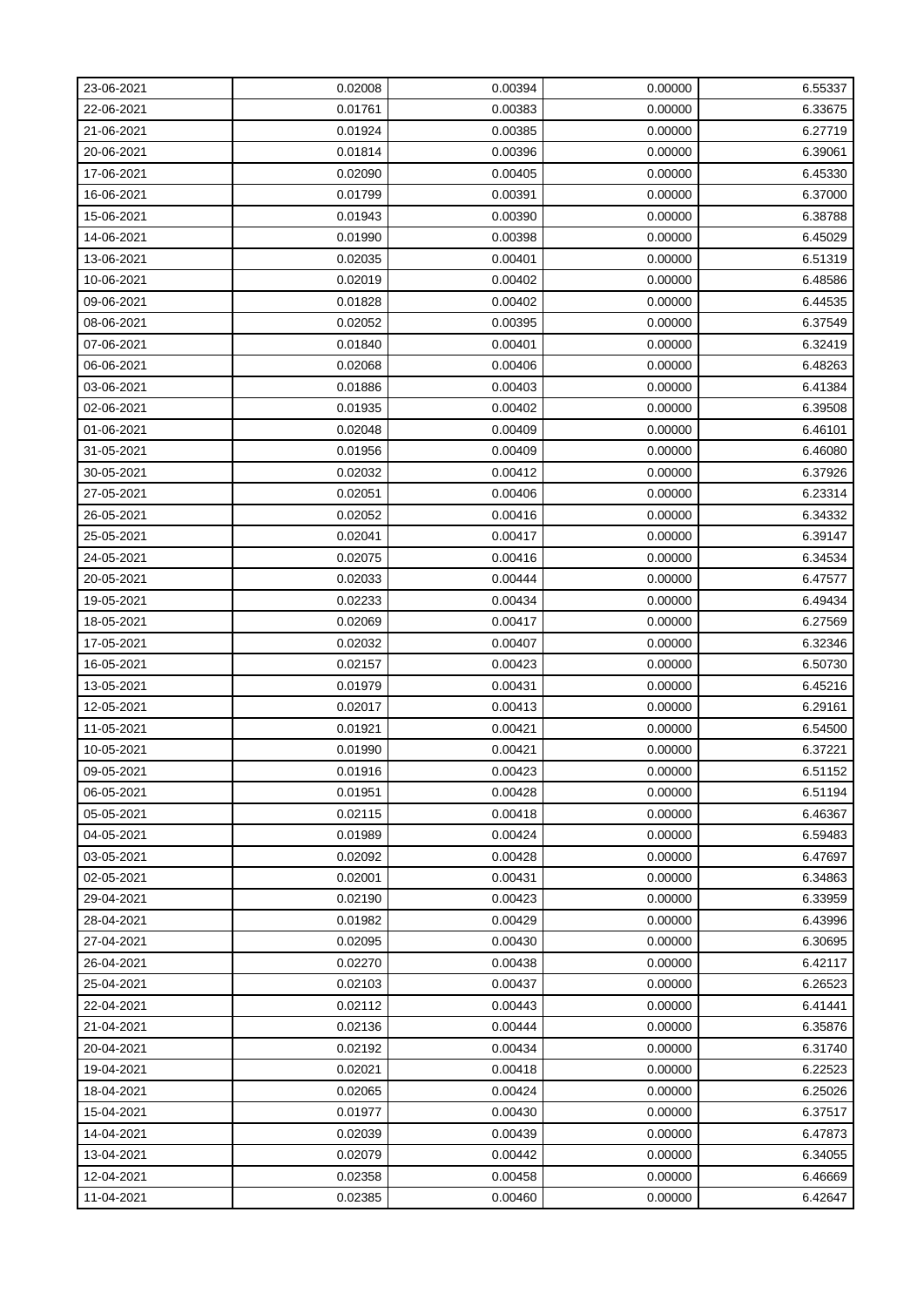| 23-06-2021 | 0.02008 | 0.00394 | 0.00000 | 6.55337 |
|------------|---------|---------|---------|---------|
| 22-06-2021 | 0.01761 | 0.00383 | 0.00000 | 6.33675 |
| 21-06-2021 | 0.01924 | 0.00385 | 0.00000 | 6.27719 |
| 20-06-2021 | 0.01814 | 0.00396 | 0.00000 | 6.39061 |
| 17-06-2021 | 0.02090 | 0.00405 | 0.00000 | 6.45330 |
| 16-06-2021 | 0.01799 | 0.00391 | 0.00000 | 6.37000 |
| 15-06-2021 | 0.01943 | 0.00390 | 0.00000 | 6.38788 |
| 14-06-2021 | 0.01990 | 0.00398 | 0.00000 | 6.45029 |
| 13-06-2021 | 0.02035 | 0.00401 | 0.00000 | 6.51319 |
| 10-06-2021 | 0.02019 | 0.00402 | 0.00000 | 6.48586 |
| 09-06-2021 | 0.01828 | 0.00402 | 0.00000 | 6.44535 |
| 08-06-2021 | 0.02052 | 0.00395 | 0.00000 | 6.37549 |
| 07-06-2021 | 0.01840 | 0.00401 | 0.00000 | 6.32419 |
| 06-06-2021 | 0.02068 | 0.00406 | 0.00000 | 6.48263 |
| 03-06-2021 | 0.01886 | 0.00403 | 0.00000 | 6.41384 |
| 02-06-2021 | 0.01935 | 0.00402 | 0.00000 | 6.39508 |
| 01-06-2021 | 0.02048 | 0.00409 | 0.00000 | 6.46101 |
| 31-05-2021 | 0.01956 | 0.00409 | 0.00000 | 6.46080 |
| 30-05-2021 | 0.02032 | 0.00412 | 0.00000 | 6.37926 |
| 27-05-2021 | 0.02051 | 0.00406 | 0.00000 | 6.23314 |
| 26-05-2021 | 0.02052 | 0.00416 | 0.00000 | 6.34332 |
| 25-05-2021 | 0.02041 | 0.00417 | 0.00000 | 6.39147 |
| 24-05-2021 | 0.02075 | 0.00416 | 0.00000 | 6.34534 |
| 20-05-2021 | 0.02033 | 0.00444 | 0.00000 | 6.47577 |
| 19-05-2021 | 0.02233 | 0.00434 | 0.00000 | 6.49434 |
| 18-05-2021 | 0.02069 | 0.00417 | 0.00000 | 6.27569 |
| 17-05-2021 | 0.02032 | 0.00407 | 0.00000 | 6.32346 |
| 16-05-2021 | 0.02157 | 0.00423 | 0.00000 | 6.50730 |
| 13-05-2021 | 0.01979 | 0.00431 | 0.00000 | 6.45216 |
| 12-05-2021 | 0.02017 | 0.00413 | 0.00000 | 6.29161 |
| 11-05-2021 | 0.01921 | 0.00421 | 0.00000 | 6.54500 |
| 10-05-2021 | 0.01990 | 0.00421 | 0.00000 | 6.37221 |
| 09-05-2021 | 0.01916 | 0.00423 | 0.00000 | 6.51152 |
| 06-05-2021 | 0.01951 | 0.00428 | 0.00000 | 6.51194 |
| 05-05-2021 | 0.02115 | 0.00418 | 0.00000 | 6.46367 |
| 04-05-2021 | 0.01989 | 0.00424 | 0.00000 | 6.59483 |
| 03-05-2021 | 0.02092 | 0.00428 | 0.00000 | 6.47697 |
| 02-05-2021 | 0.02001 | 0.00431 | 0.00000 | 6.34863 |
| 29-04-2021 | 0.02190 | 0.00423 | 0.00000 | 6.33959 |
| 28-04-2021 | 0.01982 | 0.00429 | 0.00000 | 6.43996 |
| 27-04-2021 | 0.02095 | 0.00430 | 0.00000 | 6.30695 |
| 26-04-2021 | 0.02270 | 0.00438 | 0.00000 | 6.42117 |
| 25-04-2021 | 0.02103 | 0.00437 | 0.00000 | 6.26523 |
| 22-04-2021 | 0.02112 | 0.00443 | 0.00000 | 6.41441 |
| 21-04-2021 | 0.02136 | 0.00444 | 0.00000 | 6.35876 |
| 20-04-2021 | 0.02192 | 0.00434 | 0.00000 | 6.31740 |
| 19-04-2021 | 0.02021 | 0.00418 | 0.00000 | 6.22523 |
| 18-04-2021 | 0.02065 | 0.00424 | 0.00000 | 6.25026 |
| 15-04-2021 | 0.01977 | 0.00430 | 0.00000 | 6.37517 |
| 14-04-2021 | 0.02039 | 0.00439 | 0.00000 | 6.47873 |
| 13-04-2021 | 0.02079 | 0.00442 | 0.00000 | 6.34055 |
| 12-04-2021 | 0.02358 | 0.00458 | 0.00000 | 6.46669 |
| 11-04-2021 | 0.02385 | 0.00460 | 0.00000 | 6.42647 |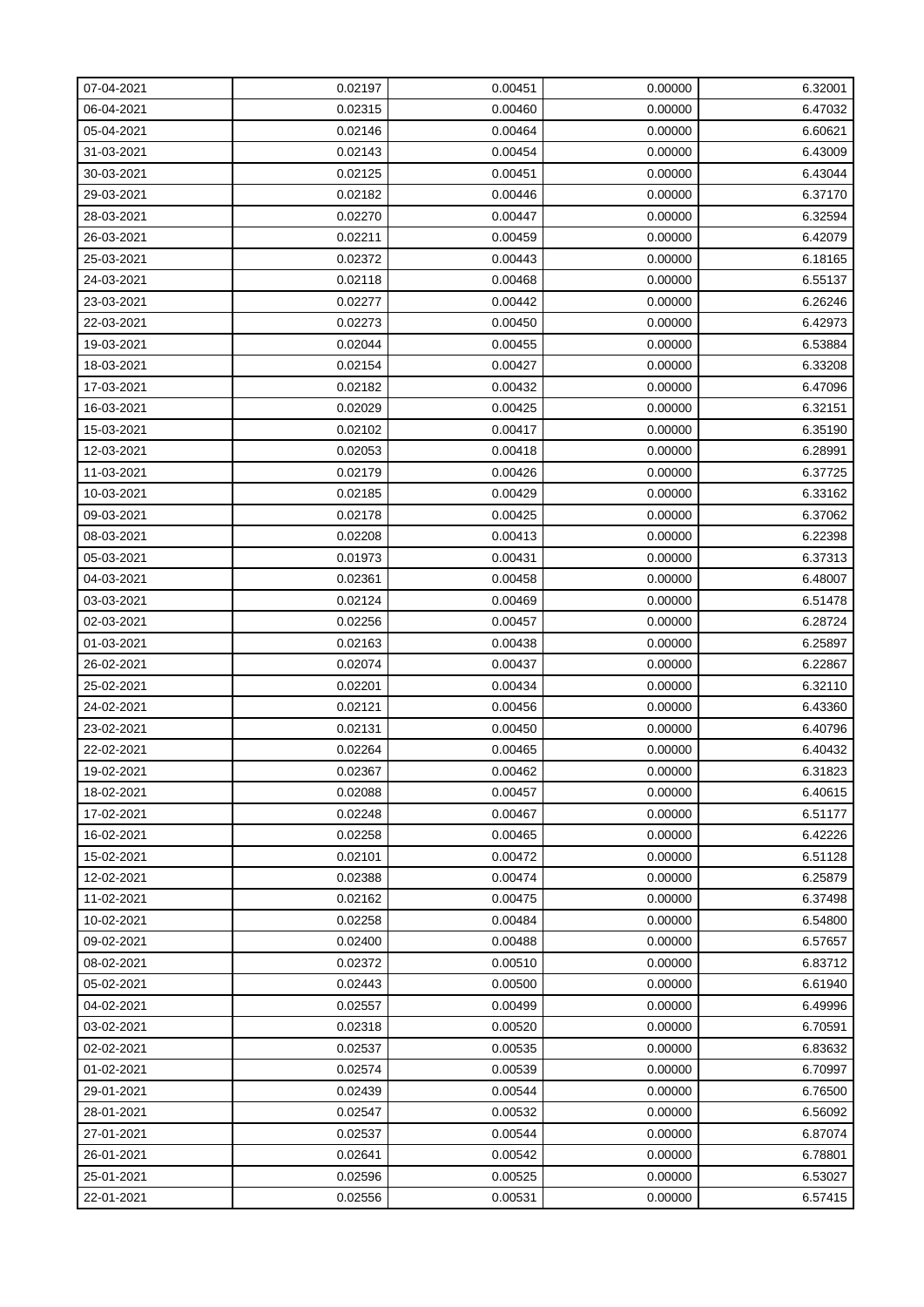| 07-04-2021 | 0.02197 | 0.00451 | 0.00000 | 6.32001 |
|------------|---------|---------|---------|---------|
| 06-04-2021 | 0.02315 | 0.00460 | 0.00000 | 6.47032 |
| 05-04-2021 | 0.02146 | 0.00464 | 0.00000 | 6.60621 |
| 31-03-2021 | 0.02143 | 0.00454 | 0.00000 | 6.43009 |
| 30-03-2021 | 0.02125 | 0.00451 | 0.00000 | 6.43044 |
| 29-03-2021 | 0.02182 | 0.00446 | 0.00000 | 6.37170 |
| 28-03-2021 | 0.02270 | 0.00447 | 0.00000 | 6.32594 |
| 26-03-2021 | 0.02211 | 0.00459 | 0.00000 | 6.42079 |
| 25-03-2021 | 0.02372 | 0.00443 | 0.00000 | 6.18165 |
| 24-03-2021 | 0.02118 | 0.00468 | 0.00000 | 6.55137 |
| 23-03-2021 | 0.02277 | 0.00442 | 0.00000 | 6.26246 |
| 22-03-2021 | 0.02273 | 0.00450 | 0.00000 | 6.42973 |
| 19-03-2021 | 0.02044 | 0.00455 | 0.00000 | 6.53884 |
| 18-03-2021 | 0.02154 | 0.00427 | 0.00000 | 6.33208 |
| 17-03-2021 | 0.02182 | 0.00432 | 0.00000 | 6.47096 |
| 16-03-2021 | 0.02029 | 0.00425 | 0.00000 | 6.32151 |
| 15-03-2021 | 0.02102 | 0.00417 | 0.00000 | 6.35190 |
| 12-03-2021 | 0.02053 | 0.00418 | 0.00000 | 6.28991 |
| 11-03-2021 | 0.02179 | 0.00426 | 0.00000 | 6.37725 |
| 10-03-2021 | 0.02185 | 0.00429 | 0.00000 | 6.33162 |
| 09-03-2021 | 0.02178 | 0.00425 | 0.00000 | 6.37062 |
| 08-03-2021 | 0.02208 | 0.00413 | 0.00000 | 6.22398 |
| 05-03-2021 | 0.01973 | 0.00431 | 0.00000 | 6.37313 |
| 04-03-2021 | 0.02361 | 0.00458 | 0.00000 | 6.48007 |
| 03-03-2021 | 0.02124 | 0.00469 | 0.00000 | 6.51478 |
| 02-03-2021 | 0.02256 | 0.00457 | 0.00000 | 6.28724 |
| 01-03-2021 | 0.02163 | 0.00438 | 0.00000 | 6.25897 |
| 26-02-2021 | 0.02074 | 0.00437 | 0.00000 | 6.22867 |
| 25-02-2021 | 0.02201 | 0.00434 | 0.00000 | 6.32110 |
| 24-02-2021 | 0.02121 | 0.00456 | 0.00000 | 6.43360 |
| 23-02-2021 | 0.02131 | 0.00450 | 0.00000 | 6.40796 |
| 22-02-2021 | 0.02264 | 0.00465 | 0.00000 | 6.40432 |
| 19-02-2021 | 0.02367 | 0.00462 | 0.00000 | 6.31823 |
| 18-02-2021 | 0.02088 | 0.00457 | 0.00000 | 6.40615 |
| 17-02-2021 | 0.02248 | 0.00467 | 0.00000 | 6.51177 |
| 16-02-2021 | 0.02258 | 0.00465 | 0.00000 | 6.42226 |
| 15-02-2021 | 0.02101 | 0.00472 | 0.00000 | 6.51128 |
| 12-02-2021 | 0.02388 | 0.00474 | 0.00000 | 6.25879 |
| 11-02-2021 | 0.02162 | 0.00475 | 0.00000 | 6.37498 |
| 10-02-2021 | 0.02258 | 0.00484 | 0.00000 | 6.54800 |
| 09-02-2021 | 0.02400 | 0.00488 | 0.00000 | 6.57657 |
| 08-02-2021 | 0.02372 | 0.00510 | 0.00000 | 6.83712 |
| 05-02-2021 | 0.02443 | 0.00500 | 0.00000 | 6.61940 |
| 04-02-2021 | 0.02557 | 0.00499 | 0.00000 | 6.49996 |
| 03-02-2021 | 0.02318 | 0.00520 | 0.00000 | 6.70591 |
| 02-02-2021 | 0.02537 | 0.00535 | 0.00000 | 6.83632 |
| 01-02-2021 | 0.02574 | 0.00539 | 0.00000 | 6.70997 |
| 29-01-2021 | 0.02439 | 0.00544 | 0.00000 | 6.76500 |
| 28-01-2021 | 0.02547 | 0.00532 | 0.00000 | 6.56092 |
| 27-01-2021 | 0.02537 | 0.00544 | 0.00000 | 6.87074 |
| 26-01-2021 | 0.02641 | 0.00542 | 0.00000 | 6.78801 |
| 25-01-2021 | 0.02596 | 0.00525 | 0.00000 | 6.53027 |
| 22-01-2021 | 0.02556 | 0.00531 | 0.00000 | 6.57415 |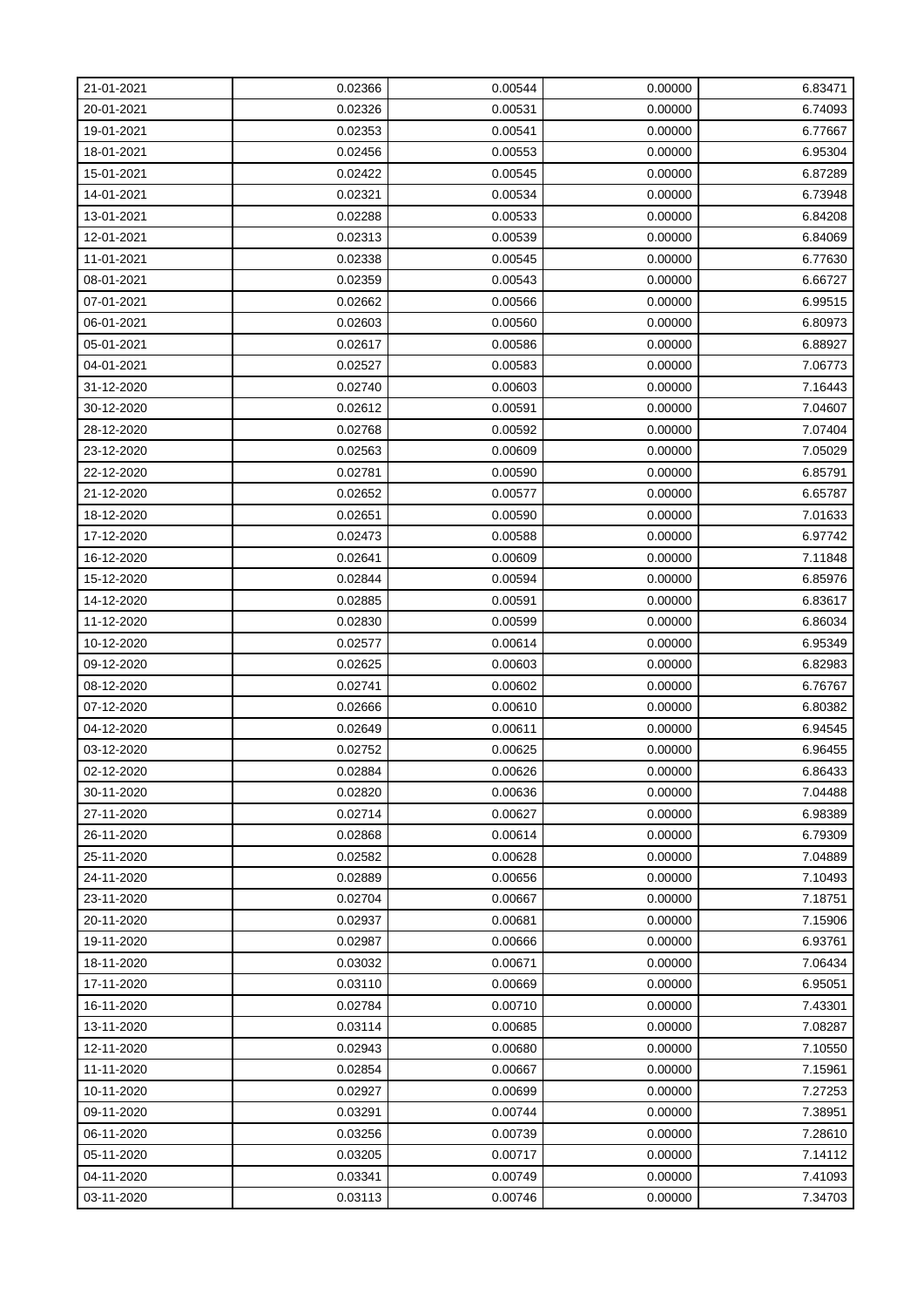| 21-01-2021 | 0.02366 | 0.00544 | 0.00000 | 6.83471 |
|------------|---------|---------|---------|---------|
| 20-01-2021 | 0.02326 | 0.00531 | 0.00000 | 6.74093 |
| 19-01-2021 | 0.02353 | 0.00541 | 0.00000 | 6.77667 |
| 18-01-2021 | 0.02456 | 0.00553 | 0.00000 | 6.95304 |
| 15-01-2021 | 0.02422 | 0.00545 | 0.00000 | 6.87289 |
| 14-01-2021 | 0.02321 | 0.00534 | 0.00000 | 6.73948 |
| 13-01-2021 | 0.02288 | 0.00533 | 0.00000 | 6.84208 |
| 12-01-2021 | 0.02313 | 0.00539 | 0.00000 | 6.84069 |
| 11-01-2021 | 0.02338 | 0.00545 | 0.00000 | 6.77630 |
| 08-01-2021 | 0.02359 | 0.00543 | 0.00000 | 6.66727 |
| 07-01-2021 | 0.02662 | 0.00566 | 0.00000 | 6.99515 |
| 06-01-2021 | 0.02603 | 0.00560 | 0.00000 | 6.80973 |
| 05-01-2021 | 0.02617 | 0.00586 | 0.00000 | 6.88927 |
| 04-01-2021 | 0.02527 | 0.00583 | 0.00000 | 7.06773 |
| 31-12-2020 | 0.02740 | 0.00603 | 0.00000 | 7.16443 |
| 30-12-2020 | 0.02612 | 0.00591 | 0.00000 | 7.04607 |
| 28-12-2020 | 0.02768 | 0.00592 | 0.00000 | 7.07404 |
| 23-12-2020 | 0.02563 | 0.00609 | 0.00000 | 7.05029 |
| 22-12-2020 | 0.02781 | 0.00590 | 0.00000 | 6.85791 |
| 21-12-2020 | 0.02652 | 0.00577 | 0.00000 | 6.65787 |
| 18-12-2020 | 0.02651 | 0.00590 | 0.00000 | 7.01633 |
| 17-12-2020 | 0.02473 | 0.00588 | 0.00000 | 6.97742 |
| 16-12-2020 | 0.02641 | 0.00609 | 0.00000 | 7.11848 |
| 15-12-2020 | 0.02844 | 0.00594 | 0.00000 | 6.85976 |
| 14-12-2020 | 0.02885 | 0.00591 | 0.00000 | 6.83617 |
| 11-12-2020 | 0.02830 | 0.00599 | 0.00000 | 6.86034 |
| 10-12-2020 | 0.02577 | 0.00614 | 0.00000 | 6.95349 |
| 09-12-2020 | 0.02625 | 0.00603 | 0.00000 | 6.82983 |
| 08-12-2020 | 0.02741 | 0.00602 | 0.00000 | 6.76767 |
| 07-12-2020 | 0.02666 | 0.00610 | 0.00000 | 6.80382 |
| 04-12-2020 | 0.02649 | 0.00611 | 0.00000 | 6.94545 |
| 03-12-2020 | 0.02752 | 0.00625 | 0.00000 | 6.96455 |
| 02-12-2020 | 0.02884 | 0.00626 | 0.00000 | 6.86433 |
| 30-11-2020 | 0.02820 | 0.00636 | 0.00000 | 7.04488 |
| 27-11-2020 | 0.02714 | 0.00627 | 0.00000 | 6.98389 |
| 26-11-2020 | 0.02868 | 0.00614 | 0.00000 | 6.79309 |
| 25-11-2020 | 0.02582 | 0.00628 | 0.00000 | 7.04889 |
| 24-11-2020 | 0.02889 | 0.00656 | 0.00000 | 7.10493 |
| 23-11-2020 | 0.02704 | 0.00667 | 0.00000 | 7.18751 |
| 20-11-2020 | 0.02937 | 0.00681 | 0.00000 | 7.15906 |
| 19-11-2020 | 0.02987 | 0.00666 | 0.00000 | 6.93761 |
| 18-11-2020 | 0.03032 | 0.00671 | 0.00000 | 7.06434 |
| 17-11-2020 | 0.03110 | 0.00669 | 0.00000 | 6.95051 |
| 16-11-2020 | 0.02784 | 0.00710 | 0.00000 | 7.43301 |
| 13-11-2020 | 0.03114 | 0.00685 | 0.00000 | 7.08287 |
| 12-11-2020 | 0.02943 | 0.00680 | 0.00000 | 7.10550 |
| 11-11-2020 | 0.02854 | 0.00667 | 0.00000 | 7.15961 |
| 10-11-2020 | 0.02927 | 0.00699 | 0.00000 | 7.27253 |
| 09-11-2020 | 0.03291 | 0.00744 | 0.00000 | 7.38951 |
| 06-11-2020 | 0.03256 | 0.00739 | 0.00000 | 7.28610 |
| 05-11-2020 | 0.03205 | 0.00717 | 0.00000 | 7.14112 |
| 04-11-2020 | 0.03341 | 0.00749 | 0.00000 | 7.41093 |
| 03-11-2020 | 0.03113 | 0.00746 | 0.00000 | 7.34703 |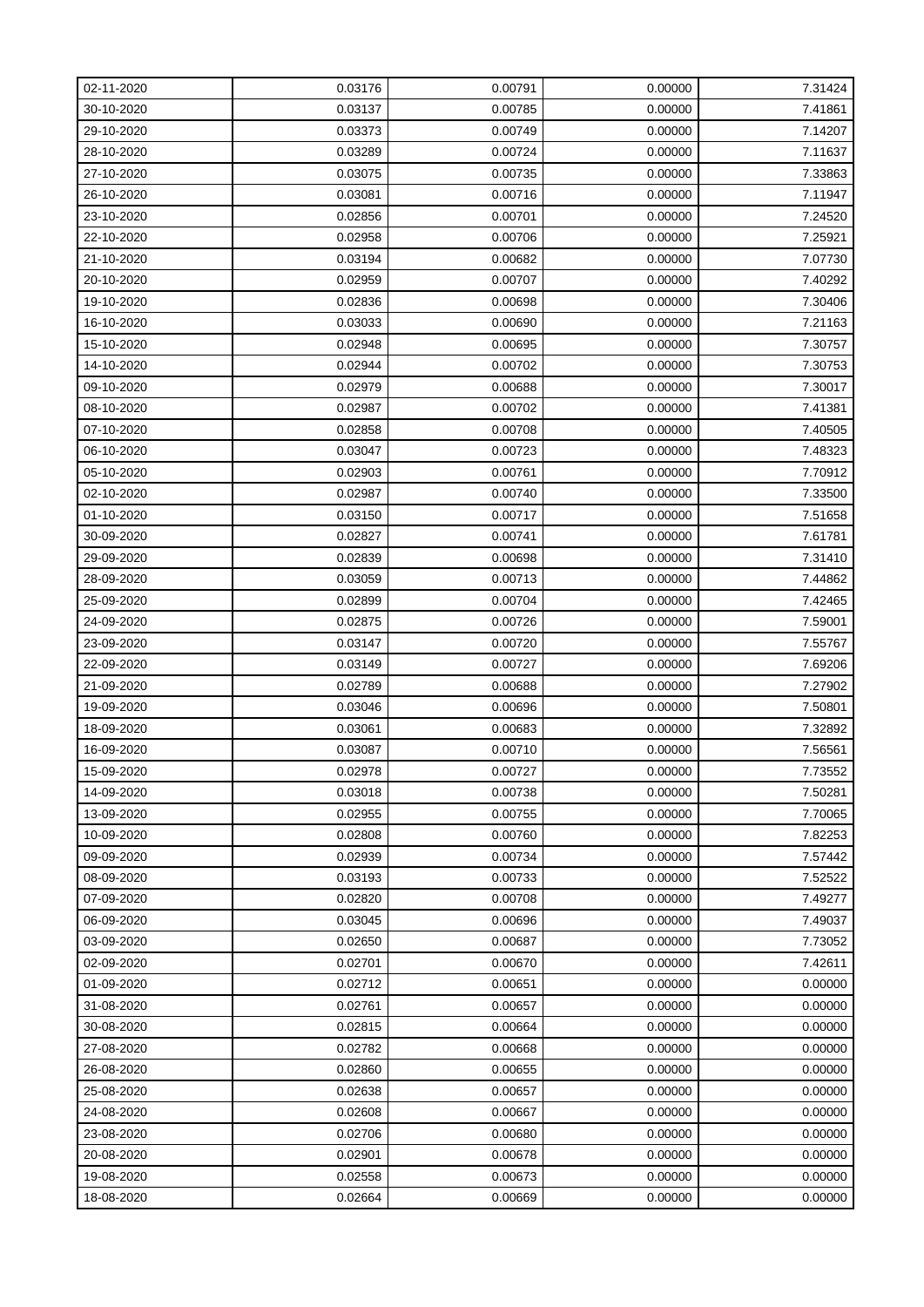| 02-11-2020 | 0.03176 | 0.00791 | 0.00000 | 7.31424 |
|------------|---------|---------|---------|---------|
| 30-10-2020 | 0.03137 | 0.00785 | 0.00000 | 7.41861 |
| 29-10-2020 | 0.03373 | 0.00749 | 0.00000 | 7.14207 |
| 28-10-2020 | 0.03289 | 0.00724 | 0.00000 | 7.11637 |
| 27-10-2020 | 0.03075 | 0.00735 | 0.00000 | 7.33863 |
| 26-10-2020 | 0.03081 | 0.00716 | 0.00000 | 7.11947 |
| 23-10-2020 | 0.02856 | 0.00701 | 0.00000 | 7.24520 |
| 22-10-2020 | 0.02958 | 0.00706 | 0.00000 | 7.25921 |
| 21-10-2020 | 0.03194 | 0.00682 | 0.00000 | 7.07730 |
| 20-10-2020 | 0.02959 | 0.00707 | 0.00000 | 7.40292 |
| 19-10-2020 | 0.02836 | 0.00698 | 0.00000 | 7.30406 |
| 16-10-2020 | 0.03033 | 0.00690 | 0.00000 | 7.21163 |
| 15-10-2020 | 0.02948 | 0.00695 | 0.00000 | 7.30757 |
| 14-10-2020 | 0.02944 | 0.00702 | 0.00000 | 7.30753 |
| 09-10-2020 | 0.02979 | 0.00688 | 0.00000 | 7.30017 |
| 08-10-2020 | 0.02987 | 0.00702 | 0.00000 | 7.41381 |
| 07-10-2020 | 0.02858 | 0.00708 | 0.00000 | 7.40505 |
| 06-10-2020 | 0.03047 | 0.00723 | 0.00000 | 7.48323 |
| 05-10-2020 | 0.02903 | 0.00761 | 0.00000 | 7.70912 |
| 02-10-2020 | 0.02987 | 0.00740 | 0.00000 | 7.33500 |
| 01-10-2020 | 0.03150 | 0.00717 | 0.00000 | 7.51658 |
| 30-09-2020 | 0.02827 | 0.00741 | 0.00000 | 7.61781 |
| 29-09-2020 | 0.02839 | 0.00698 | 0.00000 | 7.31410 |
| 28-09-2020 | 0.03059 | 0.00713 | 0.00000 | 7.44862 |
| 25-09-2020 | 0.02899 | 0.00704 | 0.00000 | 7.42465 |
| 24-09-2020 | 0.02875 | 0.00726 | 0.00000 | 7.59001 |
| 23-09-2020 | 0.03147 | 0.00720 | 0.00000 | 7.55767 |
| 22-09-2020 | 0.03149 | 0.00727 | 0.00000 | 7.69206 |
| 21-09-2020 | 0.02789 | 0.00688 | 0.00000 | 7.27902 |
| 19-09-2020 | 0.03046 | 0.00696 | 0.00000 | 7.50801 |
| 18-09-2020 | 0.03061 | 0.00683 | 0.00000 | 7.32892 |
| 16-09-2020 | 0.03087 | 0.00710 | 0.00000 | 7.56561 |
| 15-09-2020 | 0.02978 | 0.00727 | 0.00000 | 7.73552 |
| 14-09-2020 | 0.03018 | 0.00738 | 0.00000 | 7.50281 |
| 13-09-2020 | 0.02955 | 0.00755 | 0.00000 | 7.70065 |
| 10-09-2020 | 0.02808 | 0.00760 | 0.00000 | 7.82253 |
| 09-09-2020 | 0.02939 | 0.00734 | 0.00000 | 7.57442 |
| 08-09-2020 | 0.03193 | 0.00733 | 0.00000 | 7.52522 |
| 07-09-2020 | 0.02820 | 0.00708 | 0.00000 | 7.49277 |
| 06-09-2020 | 0.03045 | 0.00696 | 0.00000 | 7.49037 |
| 03-09-2020 | 0.02650 | 0.00687 | 0.00000 | 7.73052 |
| 02-09-2020 | 0.02701 | 0.00670 | 0.00000 | 7.42611 |
| 01-09-2020 | 0.02712 | 0.00651 | 0.00000 | 0.00000 |
| 31-08-2020 | 0.02761 | 0.00657 | 0.00000 | 0.00000 |
| 30-08-2020 | 0.02815 | 0.00664 | 0.00000 | 0.00000 |
| 27-08-2020 | 0.02782 | 0.00668 | 0.00000 | 0.00000 |
| 26-08-2020 | 0.02860 | 0.00655 | 0.00000 | 0.00000 |
| 25-08-2020 | 0.02638 | 0.00657 | 0.00000 | 0.00000 |
| 24-08-2020 | 0.02608 | 0.00667 | 0.00000 | 0.00000 |
| 23-08-2020 | 0.02706 | 0.00680 | 0.00000 | 0.00000 |
| 20-08-2020 | 0.02901 | 0.00678 | 0.00000 | 0.00000 |
| 19-08-2020 | 0.02558 | 0.00673 | 0.00000 | 0.00000 |
| 18-08-2020 | 0.02664 | 0.00669 | 0.00000 | 0.00000 |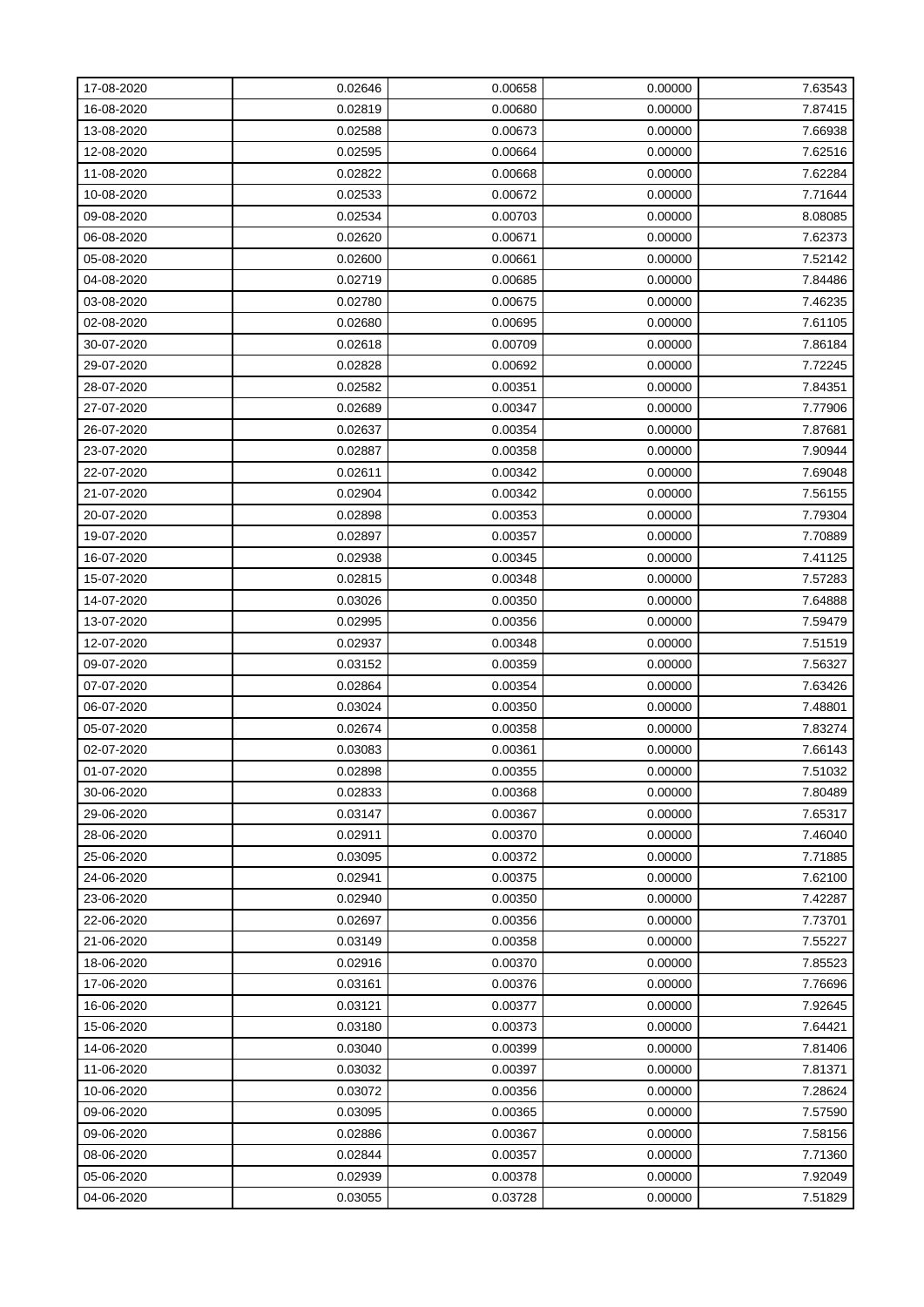| 17-08-2020 | 0.02646 | 0.00658 | 0.00000 | 7.63543 |
|------------|---------|---------|---------|---------|
| 16-08-2020 | 0.02819 | 0.00680 | 0.00000 | 7.87415 |
| 13-08-2020 | 0.02588 | 0.00673 | 0.00000 | 7.66938 |
| 12-08-2020 | 0.02595 | 0.00664 | 0.00000 | 7.62516 |
| 11-08-2020 | 0.02822 | 0.00668 | 0.00000 | 7.62284 |
| 10-08-2020 | 0.02533 | 0.00672 | 0.00000 | 7.71644 |
| 09-08-2020 | 0.02534 | 0.00703 | 0.00000 | 8.08085 |
| 06-08-2020 | 0.02620 | 0.00671 | 0.00000 | 7.62373 |
| 05-08-2020 | 0.02600 | 0.00661 | 0.00000 | 7.52142 |
| 04-08-2020 | 0.02719 | 0.00685 | 0.00000 | 7.84486 |
| 03-08-2020 | 0.02780 | 0.00675 | 0.00000 | 7.46235 |
| 02-08-2020 | 0.02680 | 0.00695 | 0.00000 | 7.61105 |
| 30-07-2020 | 0.02618 | 0.00709 | 0.00000 | 7.86184 |
| 29-07-2020 | 0.02828 | 0.00692 | 0.00000 | 7.72245 |
| 28-07-2020 | 0.02582 | 0.00351 | 0.00000 | 7.84351 |
| 27-07-2020 | 0.02689 | 0.00347 | 0.00000 | 7.77906 |
| 26-07-2020 | 0.02637 | 0.00354 | 0.00000 | 7.87681 |
| 23-07-2020 | 0.02887 | 0.00358 | 0.00000 | 7.90944 |
| 22-07-2020 | 0.02611 | 0.00342 | 0.00000 | 7.69048 |
| 21-07-2020 | 0.02904 | 0.00342 | 0.00000 | 7.56155 |
| 20-07-2020 | 0.02898 | 0.00353 | 0.00000 | 7.79304 |
| 19-07-2020 | 0.02897 | 0.00357 | 0.00000 | 7.70889 |
| 16-07-2020 | 0.02938 | 0.00345 | 0.00000 | 7.41125 |
| 15-07-2020 | 0.02815 | 0.00348 | 0.00000 | 7.57283 |
| 14-07-2020 | 0.03026 | 0.00350 | 0.00000 | 7.64888 |
| 13-07-2020 | 0.02995 | 0.00356 | 0.00000 | 7.59479 |
| 12-07-2020 | 0.02937 | 0.00348 | 0.00000 | 7.51519 |
| 09-07-2020 | 0.03152 | 0.00359 | 0.00000 | 7.56327 |
| 07-07-2020 | 0.02864 | 0.00354 | 0.00000 | 7.63426 |
| 06-07-2020 | 0.03024 | 0.00350 | 0.00000 | 7.48801 |
| 05-07-2020 | 0.02674 | 0.00358 | 0.00000 | 7.83274 |
| 02-07-2020 | 0.03083 | 0.00361 | 0.00000 | 7.66143 |
| 01-07-2020 | 0.02898 | 0.00355 | 0.00000 | 7.51032 |
| 30-06-2020 | 0.02833 | 0.00368 | 0.00000 | 7.80489 |
| 29-06-2020 | 0.03147 | 0.00367 | 0.00000 | 7.65317 |
| 28-06-2020 | 0.02911 | 0.00370 | 0.00000 | 7.46040 |
| 25-06-2020 | 0.03095 | 0.00372 | 0.00000 | 7.71885 |
| 24-06-2020 | 0.02941 | 0.00375 | 0.00000 | 7.62100 |
| 23-06-2020 | 0.02940 | 0.00350 | 0.00000 | 7.42287 |
| 22-06-2020 | 0.02697 | 0.00356 | 0.00000 | 7.73701 |
| 21-06-2020 | 0.03149 | 0.00358 | 0.00000 | 7.55227 |
| 18-06-2020 | 0.02916 | 0.00370 | 0.00000 | 7.85523 |
| 17-06-2020 | 0.03161 | 0.00376 | 0.00000 | 7.76696 |
| 16-06-2020 | 0.03121 | 0.00377 | 0.00000 | 7.92645 |
| 15-06-2020 | 0.03180 | 0.00373 | 0.00000 | 7.64421 |
| 14-06-2020 | 0.03040 | 0.00399 | 0.00000 | 7.81406 |
| 11-06-2020 | 0.03032 | 0.00397 | 0.00000 | 7.81371 |
| 10-06-2020 | 0.03072 | 0.00356 | 0.00000 | 7.28624 |
| 09-06-2020 | 0.03095 | 0.00365 | 0.00000 | 7.57590 |
| 09-06-2020 | 0.02886 | 0.00367 | 0.00000 | 7.58156 |
| 08-06-2020 | 0.02844 | 0.00357 | 0.00000 | 7.71360 |
| 05-06-2020 | 0.02939 | 0.00378 | 0.00000 | 7.92049 |
| 04-06-2020 | 0.03055 | 0.03728 | 0.00000 | 7.51829 |